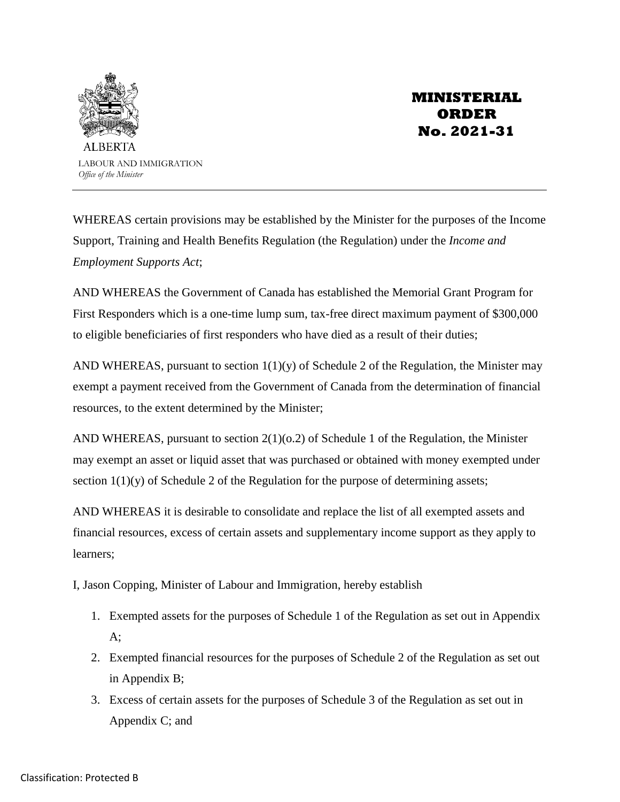

# **MINISTERIAL ORDER No. 2021-31**

WHEREAS certain provisions may be established by the Minister for the purposes of the Income Support, Training and Health Benefits Regulation (the Regulation) under the *Income and Employment Supports Act*;

AND WHEREAS the Government of Canada has established the Memorial Grant Program for First Responders which is a one-time lump sum, tax-free direct maximum payment of \$300,000 to eligible beneficiaries of first responders who have died as a result of their duties;

AND WHEREAS, pursuant to section  $1(1)(y)$  of Schedule 2 of the Regulation, the Minister may exempt a payment received from the Government of Canada from the determination of financial resources, to the extent determined by the Minister;

AND WHEREAS, pursuant to section  $2(1)(0.2)$  of Schedule 1 of the Regulation, the Minister may exempt an asset or liquid asset that was purchased or obtained with money exempted under section 1(1)(y) of Schedule 2 of the Regulation for the purpose of determining assets;

AND WHEREAS it is desirable to consolidate and replace the list of all exempted assets and financial resources, excess of certain assets and supplementary income support as they apply to learners;

I, Jason Copping, Minister of Labour and Immigration, hereby establish

- 1. Exempted assets for the purposes of Schedule 1 of the Regulation as set out in Appendix  $A$ :
- 2. Exempted financial resources for the purposes of Schedule 2 of the Regulation as set out in Appendix B;
- 3. Excess of certain assets for the purposes of Schedule 3 of the Regulation as set out in Appendix C; and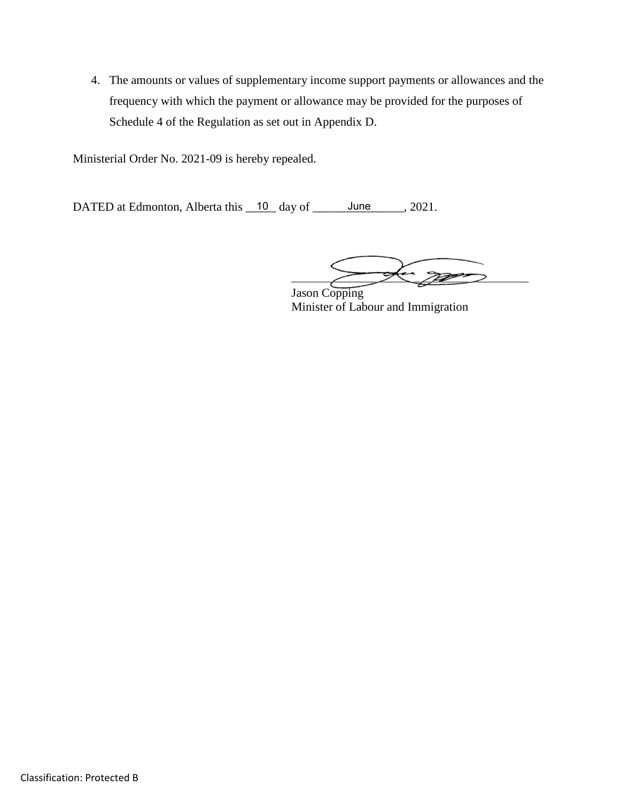4. The amounts or values of supplementary income support payments or allowances and the frequency with which the payment or allowance may be provided for the purposes of Schedule 4 of the Regulation as set out in Appendix D.

Ministerial Order No. 2021-09 is hereby repealed.

DATED at Edmonton, Alberta this  $\frac{10}{2}$  day of  $\frac{5}{2}$  June  $\frac{10}{2}$ , 2021.

 $\mathbb{Z}$ 

 Jason Copping Minister of Labour and Immigration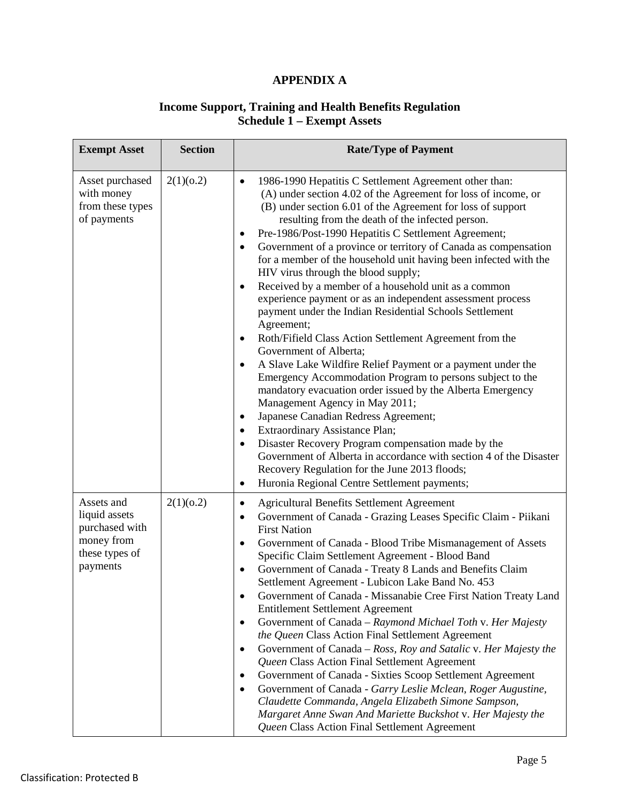# **APPENDIX A**

#### **Income Support, Training and Health Benefits Regulation Schedule 1 – Exempt Assets**

| <b>Exempt Asset</b>                                                                       | <b>Section</b> | <b>Rate/Type of Payment</b>                                                                                                                                                                                                                                                                                                                                                                                                                                                                                                                                                                                                                                                                                                                                                                                                                                                                                                                                                                                                                                                                                                                                                                                                                                                                                                                                                                                                |
|-------------------------------------------------------------------------------------------|----------------|----------------------------------------------------------------------------------------------------------------------------------------------------------------------------------------------------------------------------------------------------------------------------------------------------------------------------------------------------------------------------------------------------------------------------------------------------------------------------------------------------------------------------------------------------------------------------------------------------------------------------------------------------------------------------------------------------------------------------------------------------------------------------------------------------------------------------------------------------------------------------------------------------------------------------------------------------------------------------------------------------------------------------------------------------------------------------------------------------------------------------------------------------------------------------------------------------------------------------------------------------------------------------------------------------------------------------------------------------------------------------------------------------------------------------|
| Asset purchased<br>with money<br>from these types<br>of payments                          | 2(1)(0.2)      | 1986-1990 Hepatitis C Settlement Agreement other than:<br>$\bullet$<br>(A) under section 4.02 of the Agreement for loss of income, or<br>(B) under section 6.01 of the Agreement for loss of support<br>resulting from the death of the infected person.<br>Pre-1986/Post-1990 Hepatitis C Settlement Agreement;<br>$\bullet$<br>Government of a province or territory of Canada as compensation<br>$\bullet$<br>for a member of the household unit having been infected with the<br>HIV virus through the blood supply;<br>Received by a member of a household unit as a common<br>$\bullet$<br>experience payment or as an independent assessment process<br>payment under the Indian Residential Schools Settlement<br>Agreement;<br>Roth/Fifield Class Action Settlement Agreement from the<br>$\bullet$<br>Government of Alberta;<br>A Slave Lake Wildfire Relief Payment or a payment under the<br>$\bullet$<br>Emergency Accommodation Program to persons subject to the<br>mandatory evacuation order issued by the Alberta Emergency<br>Management Agency in May 2011;<br>Japanese Canadian Redress Agreement;<br>٠<br>Extraordinary Assistance Plan;<br>٠<br>Disaster Recovery Program compensation made by the<br>$\bullet$<br>Government of Alberta in accordance with section 4 of the Disaster<br>Recovery Regulation for the June 2013 floods;<br>Huronia Regional Centre Settlement payments;<br>$\bullet$ |
| Assets and<br>liquid assets<br>purchased with<br>money from<br>these types of<br>payments | 2(1)(0.2)      | <b>Agricultural Benefits Settlement Agreement</b><br>$\bullet$<br>Government of Canada - Grazing Leases Specific Claim - Piikani<br>$\bullet$<br><b>First Nation</b><br>Government of Canada - Blood Tribe Mismanagement of Assets<br>$\bullet$<br>Specific Claim Settlement Agreement - Blood Band<br>Government of Canada - Treaty 8 Lands and Benefits Claim<br>$\bullet$<br>Settlement Agreement - Lubicon Lake Band No. 453<br>Government of Canada - Missanabie Cree First Nation Treaty Land<br><b>Entitlement Settlement Agreement</b><br>Government of Canada – Raymond Michael Toth v. Her Majesty<br>$\bullet$<br>the Queen Class Action Final Settlement Agreement<br>Government of Canada – Ross, Roy and Satalic v. Her Majesty the<br>$\bullet$<br>Queen Class Action Final Settlement Agreement<br>Government of Canada - Sixties Scoop Settlement Agreement<br>$\bullet$<br>Government of Canada - Garry Leslie Mclean, Roger Augustine,<br>$\bullet$<br>Claudette Commanda, Angela Elizabeth Simone Sampson,<br>Margaret Anne Swan And Mariette Buckshot v. Her Majesty the<br>Queen Class Action Final Settlement Agreement                                                                                                                                                                                                                                                                             |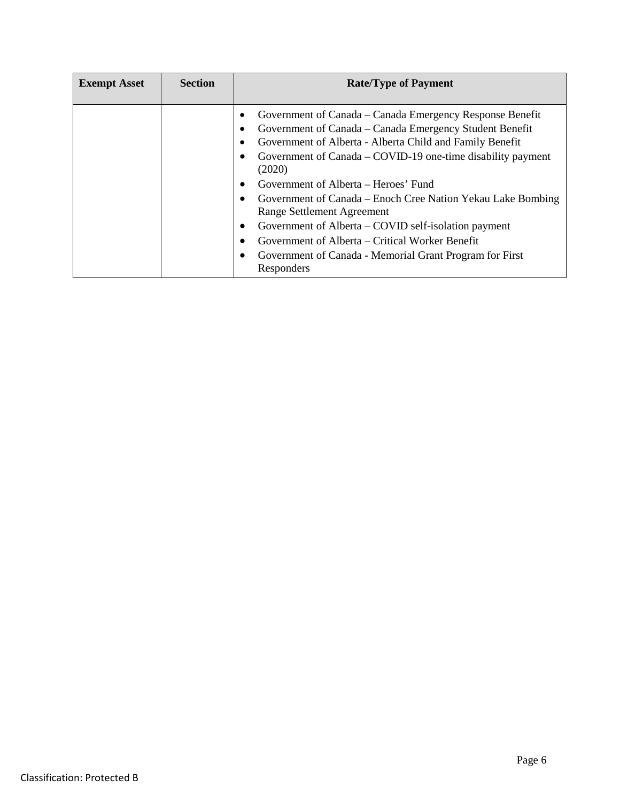| <b>Exempt Asset</b> | <b>Section</b> | <b>Rate/Type of Payment</b>                                                                                                                                                                                                                                                                                                                                                                                                                                                                                                                                                                                 |
|---------------------|----------------|-------------------------------------------------------------------------------------------------------------------------------------------------------------------------------------------------------------------------------------------------------------------------------------------------------------------------------------------------------------------------------------------------------------------------------------------------------------------------------------------------------------------------------------------------------------------------------------------------------------|
|                     |                | Government of Canada – Canada Emergency Response Benefit<br>Government of Canada – Canada Emergency Student Benefit<br>Government of Alberta - Alberta Child and Family Benefit<br>Government of Canada – COVID-19 one-time disability payment<br>(2020)<br>Government of Alberta – Heroes' Fund<br>$\bullet$<br>Government of Canada – Enoch Cree Nation Yekau Lake Bombing<br>Range Settlement Agreement<br>Government of Alberta – COVID self-isolation payment<br>$\bullet$<br>Government of Alberta – Critical Worker Benefit<br>Government of Canada - Memorial Grant Program for First<br>Responders |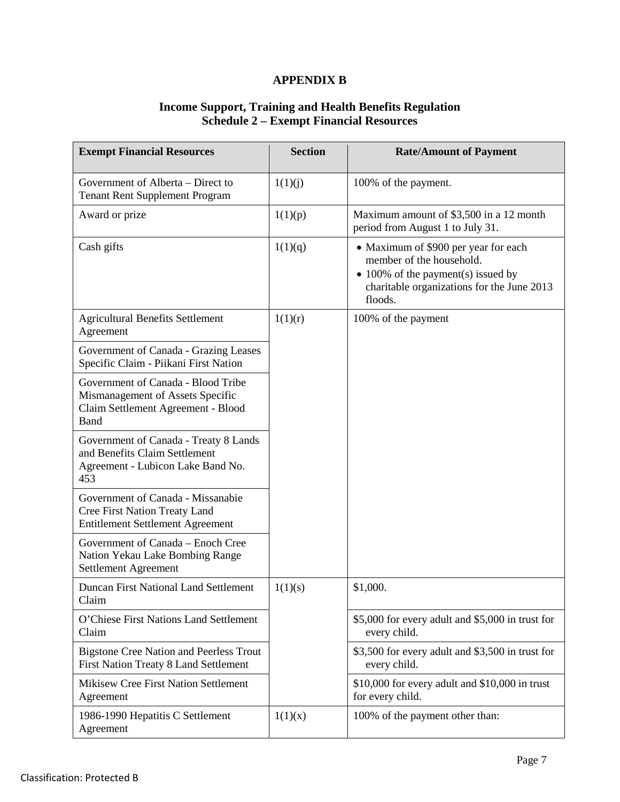# **APPENDIX B**

#### **Income Support, Training and Health Benefits Regulation Schedule 2 – Exempt Financial Resources**

| <b>Exempt Financial Resources</b>                                                                                    | <b>Section</b> | <b>Rate/Amount of Payment</b>                                                                                                                                   |
|----------------------------------------------------------------------------------------------------------------------|----------------|-----------------------------------------------------------------------------------------------------------------------------------------------------------------|
| Government of Alberta – Direct to<br><b>Tenant Rent Supplement Program</b>                                           | 1(1)(j)        | 100% of the payment.                                                                                                                                            |
| Award or prize                                                                                                       | 1(1)(p)        | Maximum amount of \$3,500 in a 12 month<br>period from August 1 to July 31.                                                                                     |
| Cash gifts                                                                                                           | 1(1)(q)        | • Maximum of \$900 per year for each<br>member of the household.<br>• 100% of the payment(s) issued by<br>charitable organizations for the June 2013<br>floods. |
| <b>Agricultural Benefits Settlement</b><br>Agreement                                                                 | 1(1)(r)        | 100% of the payment                                                                                                                                             |
| Government of Canada - Grazing Leases<br>Specific Claim - Piikani First Nation                                       |                |                                                                                                                                                                 |
| Government of Canada - Blood Tribe<br>Mismanagement of Assets Specific<br>Claim Settlement Agreement - Blood<br>Band |                |                                                                                                                                                                 |
| Government of Canada - Treaty 8 Lands<br>and Benefits Claim Settlement<br>Agreement - Lubicon Lake Band No.<br>453   |                |                                                                                                                                                                 |
| Government of Canada - Missanabie<br>Cree First Nation Treaty Land<br><b>Entitlement Settlement Agreement</b>        |                |                                                                                                                                                                 |
| Government of Canada - Enoch Cree<br>Nation Yekau Lake Bombing Range<br>Settlement Agreement                         |                |                                                                                                                                                                 |
| <b>Duncan First National Land Settlement</b><br>Claim                                                                | 1(1)(s)        | \$1,000.                                                                                                                                                        |
| O'Chiese First Nations Land Settlement<br>Claim                                                                      |                | \$5,000 for every adult and \$5,000 in trust for<br>every child.                                                                                                |
| <b>Bigstone Cree Nation and Peerless Trout</b><br>First Nation Treaty 8 Land Settlement                              |                | \$3,500 for every adult and \$3,500 in trust for<br>every child.                                                                                                |
| Mikisew Cree First Nation Settlement<br>Agreement                                                                    |                | \$10,000 for every adult and \$10,000 in trust<br>for every child.                                                                                              |
| 1986-1990 Hepatitis C Settlement<br>Agreement                                                                        | 1(1)(x)        | 100% of the payment other than:                                                                                                                                 |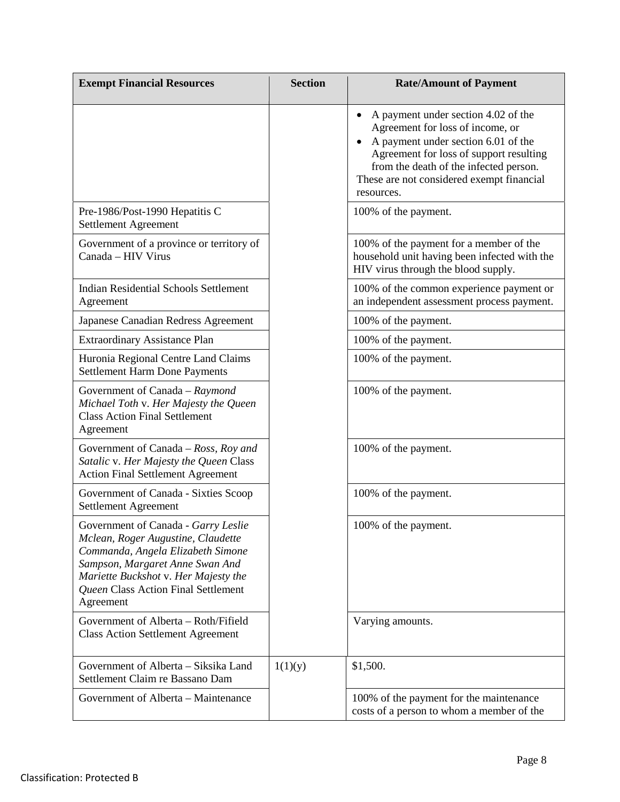| <b>Exempt Financial Resources</b>                                                                                                                                                                                                             | <b>Section</b> | <b>Rate/Amount of Payment</b>                                                                                                                                                                                                                                               |
|-----------------------------------------------------------------------------------------------------------------------------------------------------------------------------------------------------------------------------------------------|----------------|-----------------------------------------------------------------------------------------------------------------------------------------------------------------------------------------------------------------------------------------------------------------------------|
|                                                                                                                                                                                                                                               |                | A payment under section 4.02 of the<br>$\bullet$<br>Agreement for loss of income, or<br>A payment under section 6.01 of the<br>Agreement for loss of support resulting<br>from the death of the infected person.<br>These are not considered exempt financial<br>resources. |
| Pre-1986/Post-1990 Hepatitis C<br>Settlement Agreement                                                                                                                                                                                        |                | 100% of the payment.                                                                                                                                                                                                                                                        |
| Government of a province or territory of<br>Canada - HIV Virus                                                                                                                                                                                |                | 100% of the payment for a member of the<br>household unit having been infected with the<br>HIV virus through the blood supply.                                                                                                                                              |
| <b>Indian Residential Schools Settlement</b><br>Agreement                                                                                                                                                                                     |                | 100% of the common experience payment or<br>an independent assessment process payment.                                                                                                                                                                                      |
| Japanese Canadian Redress Agreement                                                                                                                                                                                                           |                | 100% of the payment.                                                                                                                                                                                                                                                        |
| <b>Extraordinary Assistance Plan</b>                                                                                                                                                                                                          |                | 100% of the payment.                                                                                                                                                                                                                                                        |
| Huronia Regional Centre Land Claims<br><b>Settlement Harm Done Payments</b>                                                                                                                                                                   |                | 100% of the payment.                                                                                                                                                                                                                                                        |
| Government of Canada - Raymond<br>Michael Toth v. Her Majesty the Queen<br><b>Class Action Final Settlement</b><br>Agreement                                                                                                                  |                | 100% of the payment.                                                                                                                                                                                                                                                        |
| Government of Canada – $Ross$ , $Roy$ and<br>Satalic v. Her Majesty the Queen Class<br><b>Action Final Settlement Agreement</b>                                                                                                               |                | 100% of the payment.                                                                                                                                                                                                                                                        |
| Government of Canada - Sixties Scoop<br>Settlement Agreement                                                                                                                                                                                  |                | 100% of the payment.                                                                                                                                                                                                                                                        |
| Government of Canada - Garry Leslie<br>Mclean, Roger Augustine, Claudette<br>Commanda, Angela Elizabeth Simone<br>Sampson, Margaret Anne Swan And<br>Mariette Buckshot v. Her Majesty the<br>Queen Class Action Final Settlement<br>Agreement |                | 100% of the payment.                                                                                                                                                                                                                                                        |
| Government of Alberta - Roth/Fifield<br><b>Class Action Settlement Agreement</b>                                                                                                                                                              |                | Varying amounts.                                                                                                                                                                                                                                                            |
| Government of Alberta – Siksika Land<br>Settlement Claim re Bassano Dam                                                                                                                                                                       | 1(1)(y)        | \$1,500.                                                                                                                                                                                                                                                                    |
| Government of Alberta – Maintenance                                                                                                                                                                                                           |                | 100% of the payment for the maintenance<br>costs of a person to whom a member of the                                                                                                                                                                                        |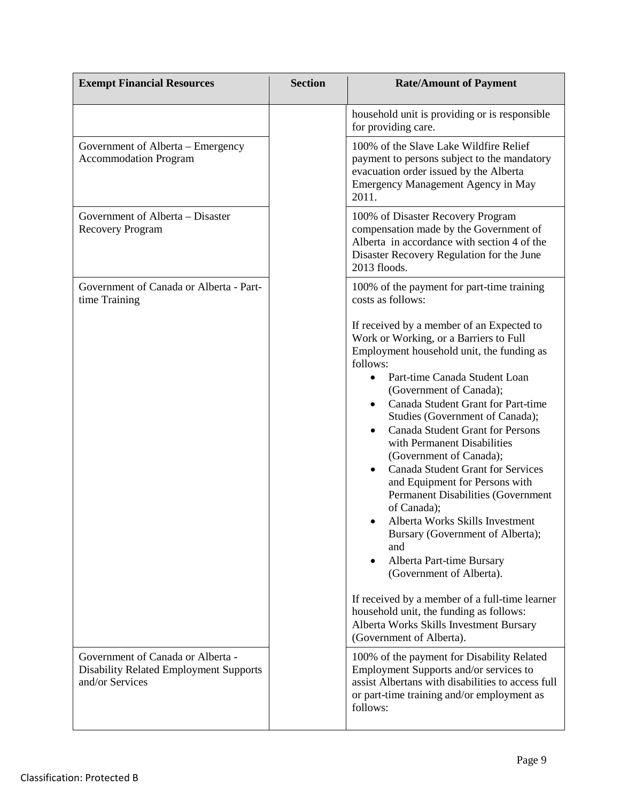| <b>Exempt Financial Resources</b>                                 | <b>Section</b> | <b>Rate/Amount of Payment</b>                                                                                                                                                                                                                                                                                                                                                                                                                                                                                                                                                                                                                                                                                                                                                                                            |
|-------------------------------------------------------------------|----------------|--------------------------------------------------------------------------------------------------------------------------------------------------------------------------------------------------------------------------------------------------------------------------------------------------------------------------------------------------------------------------------------------------------------------------------------------------------------------------------------------------------------------------------------------------------------------------------------------------------------------------------------------------------------------------------------------------------------------------------------------------------------------------------------------------------------------------|
|                                                                   |                | household unit is providing or is responsible<br>for providing care.                                                                                                                                                                                                                                                                                                                                                                                                                                                                                                                                                                                                                                                                                                                                                     |
| Government of Alberta - Emergency<br><b>Accommodation Program</b> |                | 100% of the Slave Lake Wildfire Relief<br>payment to persons subject to the mandatory<br>evacuation order issued by the Alberta<br><b>Emergency Management Agency in May</b><br>2011.                                                                                                                                                                                                                                                                                                                                                                                                                                                                                                                                                                                                                                    |
| Government of Alberta – Disaster<br><b>Recovery Program</b>       |                | 100% of Disaster Recovery Program<br>compensation made by the Government of<br>Alberta in accordance with section 4 of the<br>Disaster Recovery Regulation for the June<br>2013 floods.                                                                                                                                                                                                                                                                                                                                                                                                                                                                                                                                                                                                                                  |
| Government of Canada or Alberta - Part-<br>time Training          |                | 100% of the payment for part-time training<br>costs as follows:                                                                                                                                                                                                                                                                                                                                                                                                                                                                                                                                                                                                                                                                                                                                                          |
|                                                                   |                | If received by a member of an Expected to<br>Work or Working, or a Barriers to Full<br>Employment household unit, the funding as<br>follows:<br>Part-time Canada Student Loan<br>(Government of Canada);<br>Canada Student Grant for Part-time<br>$\bullet$<br>Studies (Government of Canada);<br><b>Canada Student Grant for Persons</b><br>$\bullet$<br>with Permanent Disabilities<br>(Government of Canada);<br><b>Canada Student Grant for Services</b><br>$\bullet$<br>and Equipment for Persons with<br><b>Permanent Disabilities (Government</b><br>of Canada);<br>Alberta Works Skills Investment<br>Bursary (Government of Alberta);<br>and<br>Alberta Part-time Bursary<br>$\bullet$<br>(Government of Alberta).<br>If received by a member of a full-time learner<br>household unit, the funding as follows: |
| Government of Canada or Alberta -                                 |                | Alberta Works Skills Investment Bursary<br>(Government of Alberta).<br>100% of the payment for Disability Related                                                                                                                                                                                                                                                                                                                                                                                                                                                                                                                                                                                                                                                                                                        |
| <b>Disability Related Employment Supports</b><br>and/or Services  |                | Employment Supports and/or services to<br>assist Albertans with disabilities to access full<br>or part-time training and/or employment as<br>follows:                                                                                                                                                                                                                                                                                                                                                                                                                                                                                                                                                                                                                                                                    |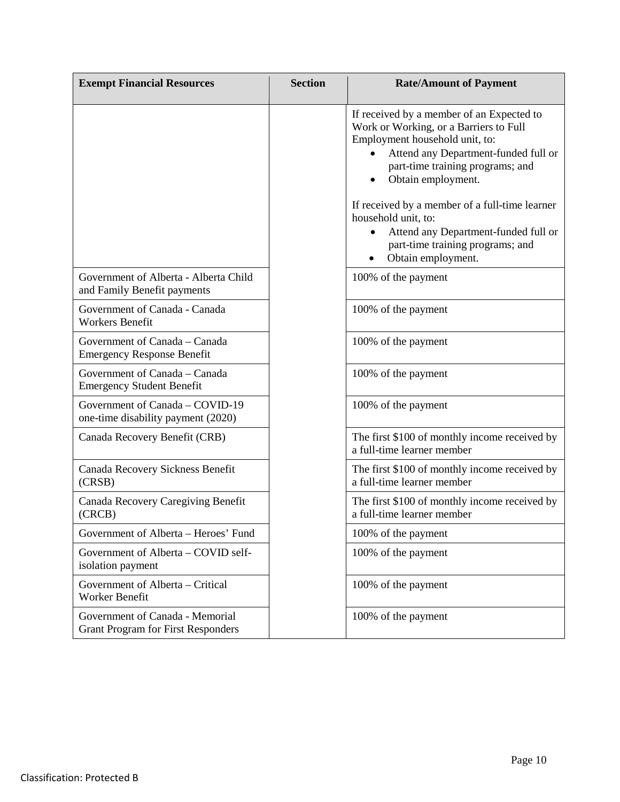| <b>Exempt Financial Resources</b>                                            | <b>Section</b> | <b>Rate/Amount of Payment</b>                                                                                                                                                                                                                                                                                                                                                |
|------------------------------------------------------------------------------|----------------|------------------------------------------------------------------------------------------------------------------------------------------------------------------------------------------------------------------------------------------------------------------------------------------------------------------------------------------------------------------------------|
|                                                                              |                | If received by a member of an Expected to<br>Work or Working, or a Barriers to Full<br>Employment household unit, to:<br>Attend any Department-funded full or<br>part-time training programs; and<br>Obtain employment.<br>If received by a member of a full-time learner<br>household unit, to:<br>Attend any Department-funded full or<br>part-time training programs; and |
|                                                                              |                | Obtain employment.<br>٠                                                                                                                                                                                                                                                                                                                                                      |
| Government of Alberta - Alberta Child<br>and Family Benefit payments         |                | 100% of the payment                                                                                                                                                                                                                                                                                                                                                          |
| Government of Canada - Canada<br><b>Workers Benefit</b>                      |                | 100% of the payment                                                                                                                                                                                                                                                                                                                                                          |
| Government of Canada - Canada<br><b>Emergency Response Benefit</b>           |                | 100% of the payment                                                                                                                                                                                                                                                                                                                                                          |
| Government of Canada – Canada<br><b>Emergency Student Benefit</b>            |                | 100% of the payment                                                                                                                                                                                                                                                                                                                                                          |
| Government of Canada - COVID-19<br>one-time disability payment (2020)        |                | 100% of the payment                                                                                                                                                                                                                                                                                                                                                          |
| Canada Recovery Benefit (CRB)                                                |                | The first \$100 of monthly income received by<br>a full-time learner member                                                                                                                                                                                                                                                                                                  |
| Canada Recovery Sickness Benefit<br>(CRSB)                                   |                | The first \$100 of monthly income received by<br>a full-time learner member                                                                                                                                                                                                                                                                                                  |
| Canada Recovery Caregiving Benefit<br>(CRCB)                                 |                | The first \$100 of monthly income received by<br>a full-time learner member                                                                                                                                                                                                                                                                                                  |
| Government of Alberta - Heroes' Fund                                         |                | 100% of the payment                                                                                                                                                                                                                                                                                                                                                          |
| Government of Alberta - COVID self-<br>isolation payment                     |                | 100% of the payment                                                                                                                                                                                                                                                                                                                                                          |
| Government of Alberta – Critical<br>Worker Benefit                           |                | 100% of the payment                                                                                                                                                                                                                                                                                                                                                          |
| Government of Canada - Memorial<br><b>Grant Program for First Responders</b> |                | 100% of the payment                                                                                                                                                                                                                                                                                                                                                          |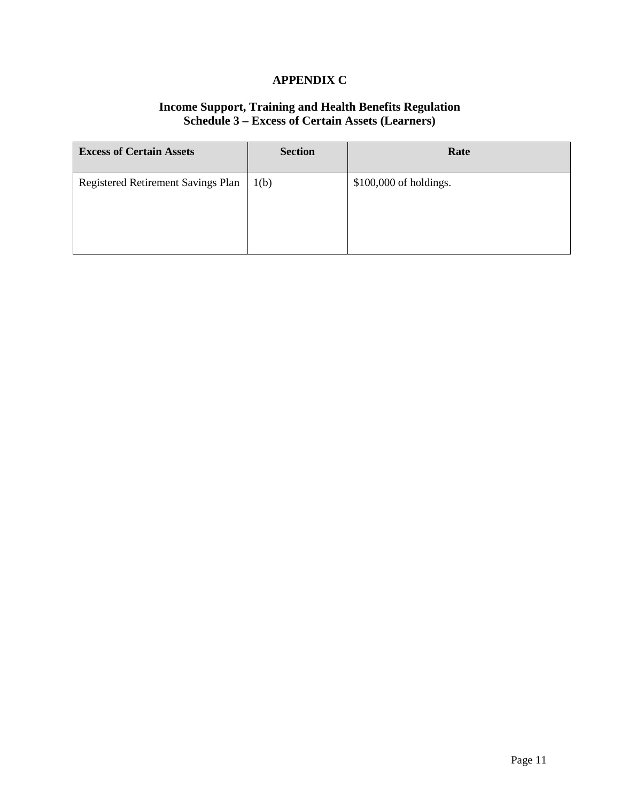# **APPENDIX C**

#### **Income Support, Training and Health Benefits Regulation Schedule 3 – Excess of Certain Assets (Learners)**

| <b>Excess of Certain Assets</b>    | <b>Section</b> | Rate                   |
|------------------------------------|----------------|------------------------|
| Registered Retirement Savings Plan | 1(b)           | \$100,000 of holdings. |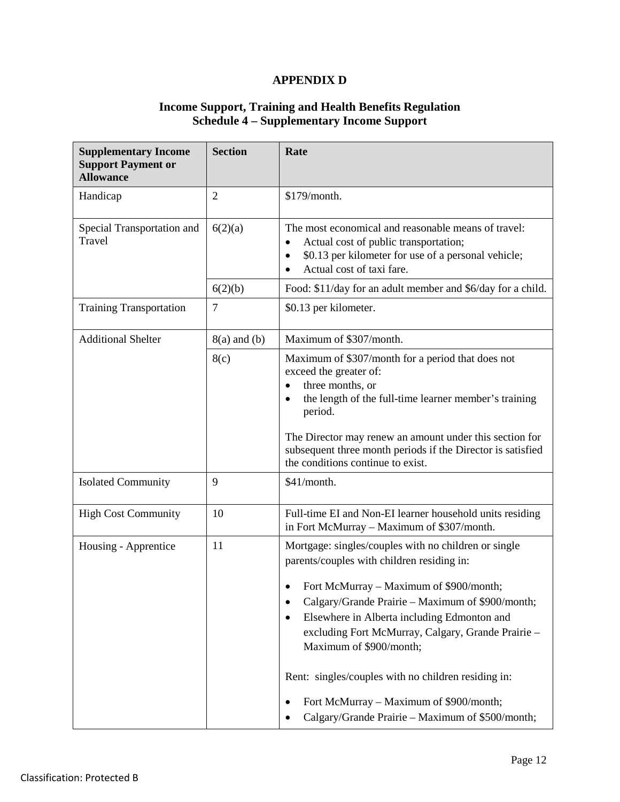# **APPENDIX D**

#### **Income Support, Training and Health Benefits Regulation Schedule 4 – Supplementary Income Support**

| <b>Supplementary Income</b><br><b>Support Payment or</b><br><b>Allowance</b> | <b>Section</b>   | Rate                                                                                                                                                                                                                                                                                                                                                                                                                                                                                         |
|------------------------------------------------------------------------------|------------------|----------------------------------------------------------------------------------------------------------------------------------------------------------------------------------------------------------------------------------------------------------------------------------------------------------------------------------------------------------------------------------------------------------------------------------------------------------------------------------------------|
| Handicap                                                                     | $\overline{2}$   | \$179/month.                                                                                                                                                                                                                                                                                                                                                                                                                                                                                 |
| Special Transportation and<br>Travel                                         | 6(2)(a)          | The most economical and reasonable means of travel:<br>Actual cost of public transportation;<br>$\bullet$<br>\$0.13 per kilometer for use of a personal vehicle;<br>$\bullet$<br>Actual cost of taxi fare.                                                                                                                                                                                                                                                                                   |
|                                                                              | 6(2)(b)          | Food: \$11/day for an adult member and \$6/day for a child.                                                                                                                                                                                                                                                                                                                                                                                                                                  |
| <b>Training Transportation</b>                                               | $\tau$           | \$0.13 per kilometer.                                                                                                                                                                                                                                                                                                                                                                                                                                                                        |
| <b>Additional Shelter</b>                                                    | $8(a)$ and $(b)$ | Maximum of \$307/month.                                                                                                                                                                                                                                                                                                                                                                                                                                                                      |
|                                                                              | 8(c)             | Maximum of \$307/month for a period that does not<br>exceed the greater of:<br>three months, or<br>the length of the full-time learner member's training<br>period.<br>The Director may renew an amount under this section for<br>subsequent three month periods if the Director is satisfied<br>the conditions continue to exist.                                                                                                                                                           |
| <b>Isolated Community</b>                                                    | 9                | \$41/month.                                                                                                                                                                                                                                                                                                                                                                                                                                                                                  |
| <b>High Cost Community</b>                                                   | 10               | Full-time EI and Non-EI learner household units residing<br>in Fort McMurray - Maximum of \$307/month.                                                                                                                                                                                                                                                                                                                                                                                       |
| Housing - Apprentice                                                         | 11               | Mortgage: singles/couples with no children or single<br>parents/couples with children residing in:<br>Fort McMurray – Maximum of \$900/month;<br>Calgary/Grande Prairie – Maximum of \$900/month;<br>Elsewhere in Alberta including Edmonton and<br>٠<br>excluding Fort McMurray, Calgary, Grande Prairie -<br>Maximum of \$900/month;<br>Rent: singles/couples with no children residing in:<br>Fort McMurray – Maximum of \$900/month;<br>Calgary/Grande Prairie - Maximum of \$500/month; |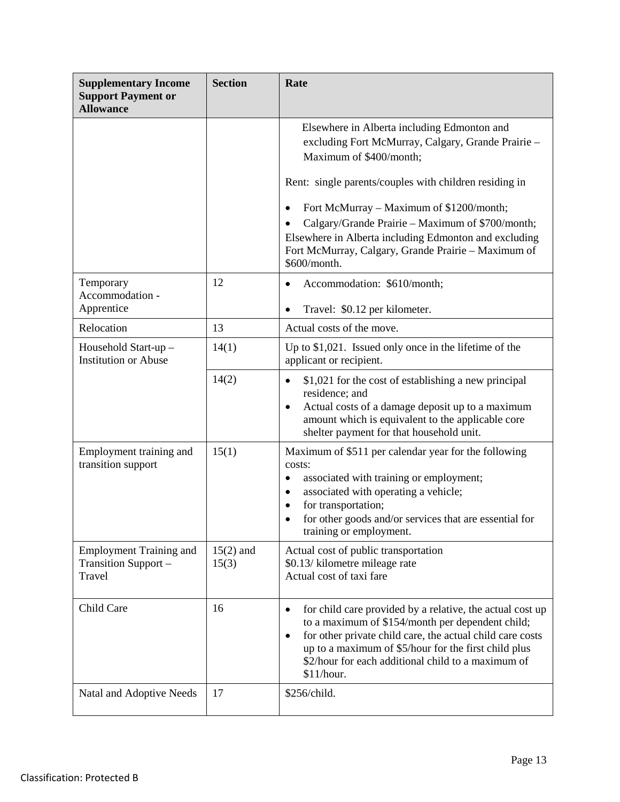| <b>Supplementary Income</b><br><b>Support Payment or</b><br><b>Allowance</b> | <b>Section</b>       | Rate                                                                                                                                                                                                                                                                                                                             |
|------------------------------------------------------------------------------|----------------------|----------------------------------------------------------------------------------------------------------------------------------------------------------------------------------------------------------------------------------------------------------------------------------------------------------------------------------|
|                                                                              |                      | Elsewhere in Alberta including Edmonton and<br>excluding Fort McMurray, Calgary, Grande Prairie -<br>Maximum of \$400/month;                                                                                                                                                                                                     |
|                                                                              |                      | Rent: single parents/couples with children residing in                                                                                                                                                                                                                                                                           |
|                                                                              |                      | Fort McMurray – Maximum of \$1200/month;<br>$\bullet$<br>Calgary/Grande Prairie - Maximum of \$700/month;<br>Elsewhere in Alberta including Edmonton and excluding<br>Fort McMurray, Calgary, Grande Prairie - Maximum of<br>\$600/month.                                                                                        |
| Temporary<br>Accommodation -<br>Apprentice                                   | 12                   | Accommodation: \$610/month;<br>$\bullet$<br>Travel: \$0.12 per kilometer.<br>$\bullet$                                                                                                                                                                                                                                           |
| Relocation                                                                   | 13                   | Actual costs of the move.                                                                                                                                                                                                                                                                                                        |
| Household Start-up -<br><b>Institution or Abuse</b>                          | 14(1)                | Up to $$1,021$ . Issued only once in the lifetime of the<br>applicant or recipient.                                                                                                                                                                                                                                              |
|                                                                              | 14(2)                | \$1,021 for the cost of establishing a new principal<br>$\bullet$<br>residence; and<br>Actual costs of a damage deposit up to a maximum<br>$\bullet$<br>amount which is equivalent to the applicable core<br>shelter payment for that household unit.                                                                            |
| Employment training and<br>transition support                                | 15(1)                | Maximum of \$511 per calendar year for the following<br>costs:<br>associated with training or employment;<br>$\bullet$<br>associated with operating a vehicle;<br>$\bullet$<br>for transportation;<br>$\bullet$<br>for other goods and/or services that are essential for<br>$\bullet$<br>training or employment.                |
| <b>Employment Training and</b><br>Transition Support -<br>Travel             | $15(2)$ and<br>15(3) | Actual cost of public transportation<br>\$0.13/ kilometre mileage rate<br>Actual cost of taxi fare                                                                                                                                                                                                                               |
| Child Care                                                                   | 16                   | for child care provided by a relative, the actual cost up<br>$\bullet$<br>to a maximum of \$154/month per dependent child;<br>for other private child care, the actual child care costs<br>$\bullet$<br>up to a maximum of \$5/hour for the first child plus<br>\$2/hour for each additional child to a maximum of<br>\$11/hour. |
| Natal and Adoptive Needs                                                     | 17                   | \$256/child.                                                                                                                                                                                                                                                                                                                     |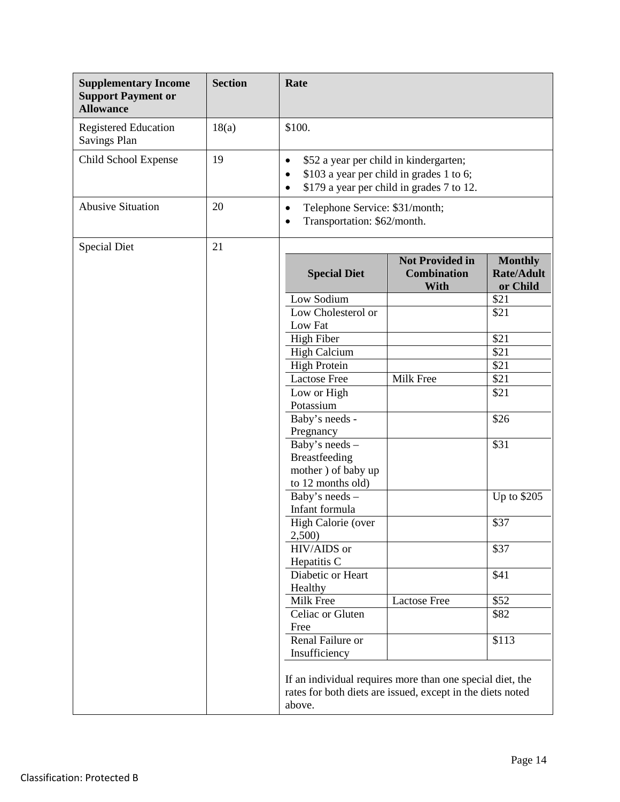| <b>Supplementary Income</b><br><b>Support Payment or</b><br><b>Allowance</b> | <b>Section</b> | Rate                                                                                                                              |                                                                                       |                                                 |
|------------------------------------------------------------------------------|----------------|-----------------------------------------------------------------------------------------------------------------------------------|---------------------------------------------------------------------------------------|-------------------------------------------------|
| <b>Registered Education</b><br>Savings Plan                                  | 18(a)          | \$100.                                                                                                                            |                                                                                       |                                                 |
| Child School Expense                                                         | 19             | \$52 a year per child in kindergarten;<br>$\bullet$<br>$\bullet$<br>$\bullet$                                                     | \$103 a year per child in grades 1 to 6;<br>\$179 a year per child in grades 7 to 12. |                                                 |
| <b>Abusive Situation</b>                                                     | 20             | Telephone Service: \$31/month;<br>$\bullet$<br>Transportation: \$62/month.<br>$\bullet$                                           |                                                                                       |                                                 |
| <b>Special Diet</b>                                                          | 21             |                                                                                                                                   |                                                                                       |                                                 |
|                                                                              |                | <b>Special Diet</b>                                                                                                               | <b>Not Provided in</b><br><b>Combination</b><br>With                                  | <b>Monthly</b><br><b>Rate/Adult</b><br>or Child |
|                                                                              |                | Low Sodium                                                                                                                        |                                                                                       | \$21                                            |
|                                                                              |                | Low Cholesterol or                                                                                                                |                                                                                       | \$21                                            |
|                                                                              |                | Low Fat                                                                                                                           |                                                                                       |                                                 |
|                                                                              |                | <b>High Fiber</b>                                                                                                                 |                                                                                       | \$21                                            |
|                                                                              |                | <b>High Calcium</b>                                                                                                               |                                                                                       | \$21                                            |
|                                                                              |                | <b>High Protein</b>                                                                                                               |                                                                                       | \$21                                            |
|                                                                              |                | <b>Lactose Free</b>                                                                                                               | Milk Free                                                                             | \$21                                            |
|                                                                              |                | Low or High                                                                                                                       |                                                                                       | \$21                                            |
|                                                                              |                | Potassium                                                                                                                         |                                                                                       |                                                 |
|                                                                              |                | Baby's needs -                                                                                                                    |                                                                                       | \$26                                            |
|                                                                              |                | Pregnancy                                                                                                                         |                                                                                       |                                                 |
|                                                                              |                | Baby's needs -                                                                                                                    |                                                                                       | \$31                                            |
|                                                                              |                | Breastfeeding                                                                                                                     |                                                                                       |                                                 |
|                                                                              |                | mother) of baby up                                                                                                                |                                                                                       |                                                 |
|                                                                              |                | to 12 months old)                                                                                                                 |                                                                                       |                                                 |
|                                                                              |                | Baby's needs -<br>Infant formula                                                                                                  |                                                                                       | Up to \$205                                     |
|                                                                              |                |                                                                                                                                   |                                                                                       | \$37                                            |
|                                                                              |                | High Calorie (over<br>2,500)                                                                                                      |                                                                                       |                                                 |
|                                                                              |                | HIV/AIDS or                                                                                                                       |                                                                                       | \$37                                            |
|                                                                              |                | Hepatitis C                                                                                                                       |                                                                                       |                                                 |
|                                                                              |                | Diabetic or Heart                                                                                                                 |                                                                                       | \$41                                            |
|                                                                              |                | Healthy                                                                                                                           |                                                                                       |                                                 |
|                                                                              |                | Milk Free                                                                                                                         | <b>Lactose Free</b>                                                                   | \$52                                            |
|                                                                              |                | Celiac or Gluten                                                                                                                  |                                                                                       | \$82                                            |
|                                                                              |                | Free                                                                                                                              |                                                                                       |                                                 |
|                                                                              |                | Renal Failure or                                                                                                                  |                                                                                       | \$113                                           |
|                                                                              |                | Insufficiency                                                                                                                     |                                                                                       |                                                 |
|                                                                              |                | If an individual requires more than one special diet, the<br>rates for both diets are issued, except in the diets noted<br>above. |                                                                                       |                                                 |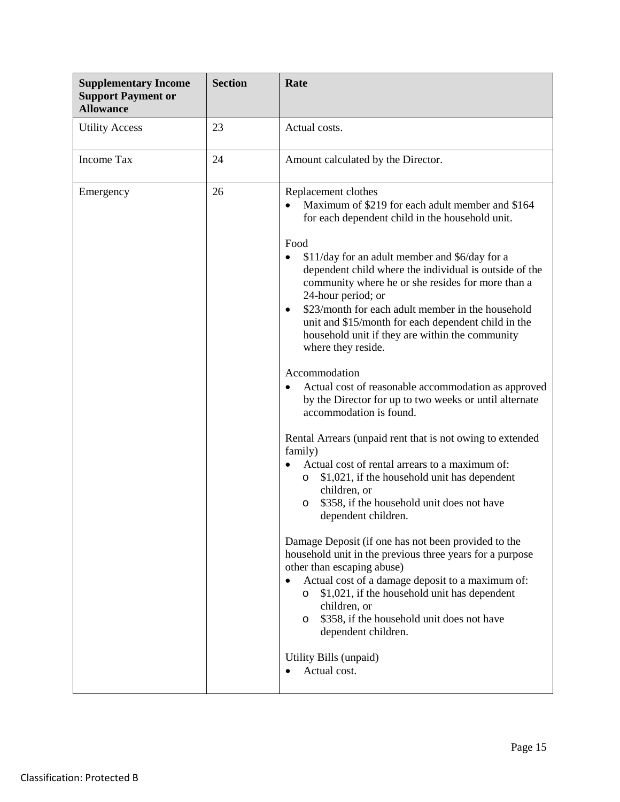| <b>Supplementary Income</b><br><b>Support Payment or</b><br><b>Allowance</b> | <b>Section</b> | Rate                                                                                                                                                                                                                                                                                                                                                                                                                                                                                                                                                                                                                                                                                                                                                                                                                                                                                                                                                                                                                                                                                                                                                                                                                                                                                                                                                                                                                                  |
|------------------------------------------------------------------------------|----------------|---------------------------------------------------------------------------------------------------------------------------------------------------------------------------------------------------------------------------------------------------------------------------------------------------------------------------------------------------------------------------------------------------------------------------------------------------------------------------------------------------------------------------------------------------------------------------------------------------------------------------------------------------------------------------------------------------------------------------------------------------------------------------------------------------------------------------------------------------------------------------------------------------------------------------------------------------------------------------------------------------------------------------------------------------------------------------------------------------------------------------------------------------------------------------------------------------------------------------------------------------------------------------------------------------------------------------------------------------------------------------------------------------------------------------------------|
| <b>Utility Access</b>                                                        | 23             | Actual costs.                                                                                                                                                                                                                                                                                                                                                                                                                                                                                                                                                                                                                                                                                                                                                                                                                                                                                                                                                                                                                                                                                                                                                                                                                                                                                                                                                                                                                         |
| <b>Income Tax</b>                                                            | 24             | Amount calculated by the Director.                                                                                                                                                                                                                                                                                                                                                                                                                                                                                                                                                                                                                                                                                                                                                                                                                                                                                                                                                                                                                                                                                                                                                                                                                                                                                                                                                                                                    |
| Emergency                                                                    | 26             | Replacement clothes<br>Maximum of \$219 for each adult member and \$164<br>for each dependent child in the household unit.<br>Food<br>\$11/day for an adult member and \$6/day for a<br>$\bullet$<br>dependent child where the individual is outside of the<br>community where he or she resides for more than a<br>24-hour period; or<br>\$23/month for each adult member in the household<br>$\bullet$<br>unit and \$15/month for each dependent child in the<br>household unit if they are within the community<br>where they reside.<br>Accommodation<br>Actual cost of reasonable accommodation as approved<br>$\bullet$<br>by the Director for up to two weeks or until alternate<br>accommodation is found.<br>Rental Arrears (unpaid rent that is not owing to extended<br>family)<br>Actual cost of rental arrears to a maximum of:<br>$\bullet$<br>\$1,021, if the household unit has dependent<br>$\circ$<br>children, or<br>\$358, if the household unit does not have<br>O<br>dependent children.<br>Damage Deposit (if one has not been provided to the<br>household unit in the previous three years for a purpose<br>other than escaping abuse)<br>Actual cost of a damage deposit to a maximum of:<br>$\bullet$<br>\$1,021, if the household unit has dependent<br>$\circ$<br>children, or<br>\$358, if the household unit does not have<br>$\circ$<br>dependent children.<br>Utility Bills (unpaid)<br>Actual cost. |